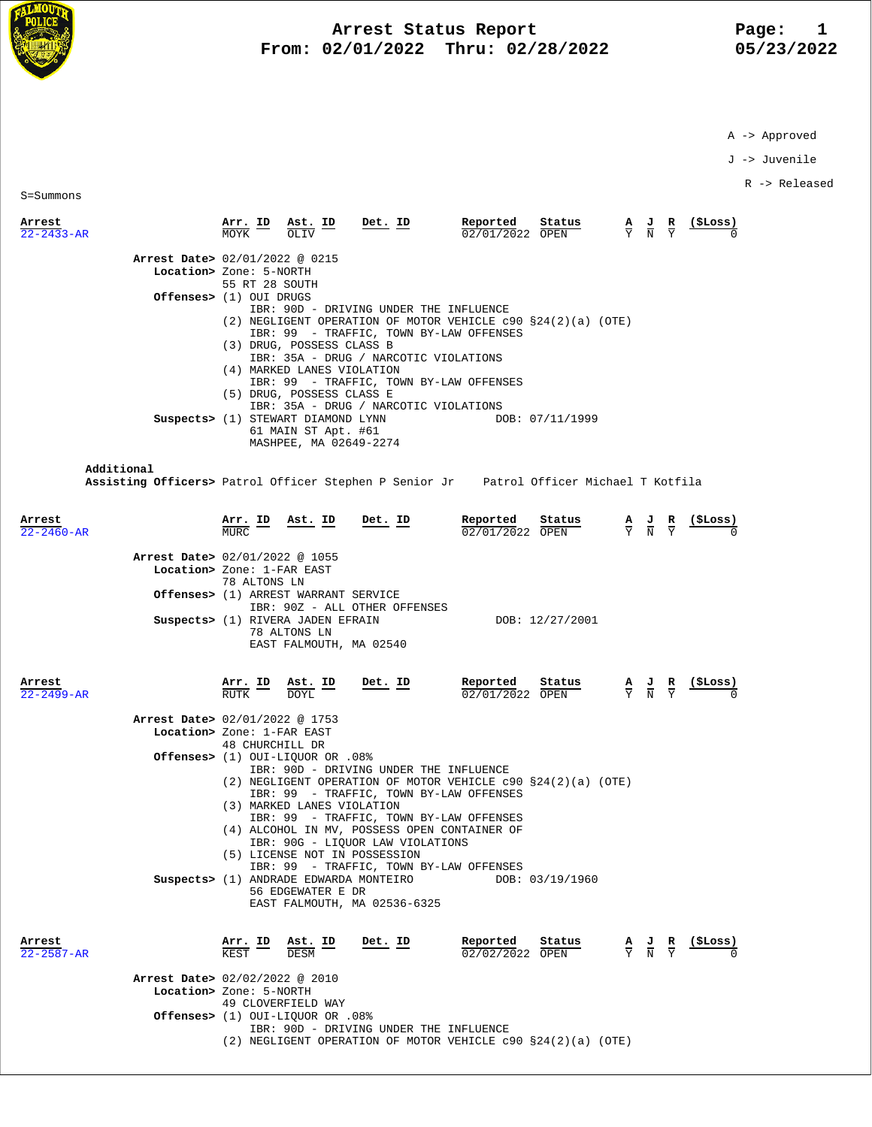

## **Arrest Status Report** Page: 1<br>12/01/2022 Thru: 02/28/2022 195/23/2022  **From: 02/01/2022 Thru: 02/28/2022 05/23/2022**

A -> Approved

J -> Juvenile

R -> Released

S=Summons

| Arrest<br>$22 - 2433 - AR$ | <u>Arr. ID</u><br>$\frac{\text{Ast.}}{\text{at.}}$ ID                                                                                                                                                                                                                                                                                                    | <u>Det. ID</u>                                                                                                                                                                                                 | Reported<br>Status<br>02/01/2022 OPEN                                                              | (ŞLoss)<br>$\frac{A}{Y}$ $\frac{J}{N}$ $\frac{R}{Y}$                                                       |
|----------------------------|----------------------------------------------------------------------------------------------------------------------------------------------------------------------------------------------------------------------------------------------------------------------------------------------------------------------------------------------------------|----------------------------------------------------------------------------------------------------------------------------------------------------------------------------------------------------------------|----------------------------------------------------------------------------------------------------|------------------------------------------------------------------------------------------------------------|
|                            | Arrest Date> 02/01/2022 @ 0215<br>Location> Zone: 5-NORTH<br>55 RT 28 SOUTH<br>Offenses> (1) OUI DRUGS<br>(3) DRUG, POSSESS CLASS B<br>(4) MARKED LANES VIOLATION<br>(5) DRUG, POSSESS CLASS E<br>Suspects> (1) STEWART DIAMOND LYNN<br>61 MAIN ST Apt. #61<br>MASHPEE, MA 02649-2274                                                                    | IBR: 90D - DRIVING UNDER THE INFLUENCE<br>IBR: 99 - TRAFFIC, TOWN BY-LAW OFFENSES<br>IBR: 35A - DRUG / NARCOTIC VIOLATIONS<br>IBR: 99 - TRAFFIC, TOWN BY-LAW OFFENSES<br>IBR: 35A - DRUG / NARCOTIC VIOLATIONS | (2) NEGLIGENT OPERATION OF MOTOR VEHICLE $c90 S24(2)(a)$ (OTE)<br>DOB: 07/11/1999                  |                                                                                                            |
| Additional                 |                                                                                                                                                                                                                                                                                                                                                          |                                                                                                                                                                                                                | Assisting Officers> Patrol Officer Stephen P Senior Jr Patrol Officer Michael T Kotfila            |                                                                                                            |
| Arrest<br>$22 - 2460 - AR$ | Arr. ID<br>Ast. ID<br>MURC.<br>Arrest Date> 02/01/2022 @ 1055<br>Location> Zone: 1-FAR EAST<br>78 ALTONS LN<br><b>Offenses&gt;</b> (1) ARREST WARRANT SERVICE<br>Suspects> (1) RIVERA JADEN EFRAIN                                                                                                                                                       | Det. ID<br>IBR: 90Z - ALL OTHER OFFENSES                                                                                                                                                                       | Reported<br>Status<br>$02/01/2022$ OPEN<br>DOB: 12/27/2001                                         | (ŞLoss)<br>$\frac{\mathbf{A}}{\mathbf{Y}}$ $\frac{\mathbf{J}}{\mathbf{N}}$ $\frac{\mathbf{R}}{\mathbf{Y}}$ |
| Arrest                     | 78 ALTONS LN<br>EAST FALMOUTH, MA 02540<br>Arr. ID<br>Ast. ID                                                                                                                                                                                                                                                                                            | Det. ID                                                                                                                                                                                                        | Reported<br>Status                                                                                 | $\frac{\mathbf{A}}{\mathbf{Y}}$ $\frac{\mathbf{J}}{\mathbf{N}}$ $\frac{\mathbf{R}}{\mathbf{Y}}$            |
| $22 - 2499 - AR$           | RUTK<br><b>DOYL</b><br>Arrest Date> 02/01/2022 @ 1753<br>Location> Zone: 1-FAR EAST<br>48 CHURCHILL DR<br>0ffenses> (1) OUI-LIQUOR OR .08%<br>(3) MARKED LANES VIOLATION<br>(4) ALCOHOL IN MV, POSSESS OPEN CONTAINER OF<br>(5) LICENSE NOT IN POSSESSION<br>Suspects> (1) ANDRADE EDWARDA MONTEIRO<br>56 EDGEWATER E DR<br>EAST FALMOUTH, MA 02536-6325 | IBR: 90D - DRIVING UNDER THE INFLUENCE<br>IBR: 99 - TRAFFIC, TOWN BY-LAW OFFENSES<br>IBR: 99 - TRAFFIC, TOWN BY-LAW OFFENSES<br>IBR: 90G - LIQUOR LAW VIOLATIONS<br>IBR: 99 - TRAFFIC, TOWN BY-LAW OFFENSES    | 02/01/2022 OPEN<br>(2) NEGLIGENT OPERATION OF MOTOR VEHICLE c90 §24(2)(a) (OTE)<br>DOB: 03/19/1960 |                                                                                                            |
| Arrest<br>22-2587-AR       | $\frac{\text{Arr. ID}}{\text{KFCT}}$<br>$\underline{\text{Ast.}}$ ID<br><b>DESM</b><br>Arrest Date> 02/02/2022 @ 2010<br>Location> Zone: 5-NORTH<br>49 CLOVERFIELD WAY<br>Offenses> (1) OUI-LIQUOR OR .08%                                                                                                                                               | Det. ID                                                                                                                                                                                                        | Reported<br>Status<br>02/02/2022 OPEN                                                              | $\frac{A}{Y}$ $\frac{J}{N}$ $\frac{R}{Y}$ $\frac{($Loss)}{0}$                                              |

 IBR: 90D - DRIVING UNDER THE INFLUENCE (2) NEGLIGENT OPERATION OF MOTOR VEHICLE c90 §24(2)(a) (OTE)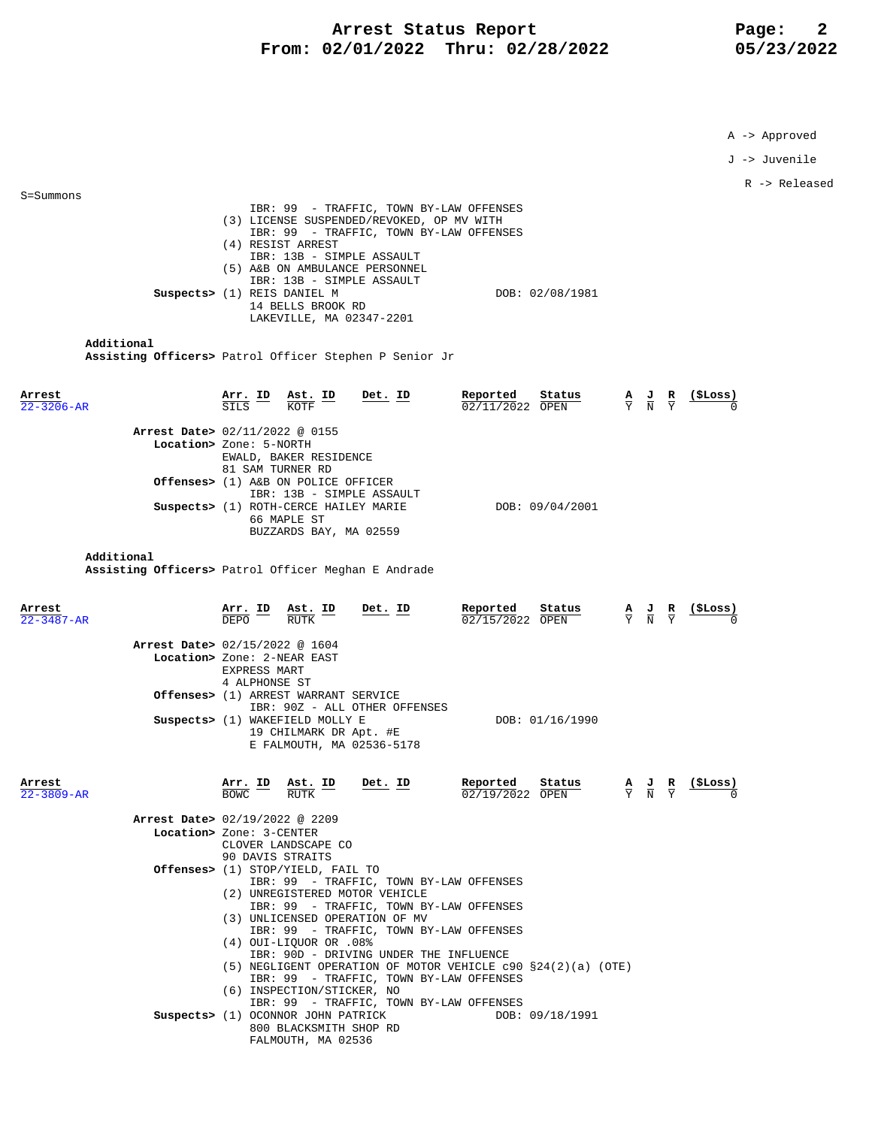## **Arrest Status Report** Page: 2<br>12/01/2022 Thru: 02/28/2022 05/23/2022  **From: 02/01/2022 Thru: 02/28/2022 05/23/2022**

A -> Approved

J -> Juvenile

R -> Released

| $S = Summons$        |                                                                                                        |                                                                                                          |                                                                                                                   |  |  |  |
|----------------------|--------------------------------------------------------------------------------------------------------|----------------------------------------------------------------------------------------------------------|-------------------------------------------------------------------------------------------------------------------|--|--|--|
|                      | IBR: 99 - TRAFFIC, TOWN BY-LAW OFFENSES                                                                |                                                                                                          |                                                                                                                   |  |  |  |
|                      | (3) LICENSE SUSPENDED/REVOKED, OP MV WITH<br>IBR: 99 - TRAFFIC, TOWN BY-LAW OFFENSES                   |                                                                                                          |                                                                                                                   |  |  |  |
|                      | (4) RESIST ARREST                                                                                      |                                                                                                          |                                                                                                                   |  |  |  |
|                      | IBR: 13B - SIMPLE ASSAULT<br>(5) A&B ON AMBULANCE PERSONNEL                                            |                                                                                                          |                                                                                                                   |  |  |  |
|                      | IBR: 13B - SIMPLE ASSAULT                                                                              |                                                                                                          |                                                                                                                   |  |  |  |
|                      | Suspects> (1) REIS DANIEL M                                                                            | DOB: 02/08/1981                                                                                          |                                                                                                                   |  |  |  |
|                      | 14 BELLS BROOK RD<br>LAKEVILLE, MA 02347-2201                                                          |                                                                                                          |                                                                                                                   |  |  |  |
|                      |                                                                                                        |                                                                                                          |                                                                                                                   |  |  |  |
| Additional           |                                                                                                        |                                                                                                          |                                                                                                                   |  |  |  |
|                      | Assisting Officers> Patrol Officer Stephen P Senior Jr                                                 |                                                                                                          |                                                                                                                   |  |  |  |
|                      |                                                                                                        |                                                                                                          |                                                                                                                   |  |  |  |
| Arrest               | Det. ID<br>Arr. ID<br>SILS<br><b>Ast. ID</b><br>KOTF                                                   | Reported<br>Status                                                                                       | <u>(ŞLOSS)</u><br>$\frac{A}{Y}$ $\frac{J}{N}$ $\frac{R}{Y}$                                                       |  |  |  |
| $3206 - AR$          |                                                                                                        | 02/11/2022 OPEN                                                                                          |                                                                                                                   |  |  |  |
|                      | Arrest Date> 02/11/2022 @ 0155                                                                         |                                                                                                          |                                                                                                                   |  |  |  |
|                      | Location> Zone: 5-NORTH                                                                                |                                                                                                          |                                                                                                                   |  |  |  |
|                      | EWALD, BAKER RESIDENCE<br>81 SAM TURNER RD                                                             |                                                                                                          |                                                                                                                   |  |  |  |
|                      | Offenses> (1) A&B ON POLICE OFFICER                                                                    |                                                                                                          |                                                                                                                   |  |  |  |
|                      | IBR: 13B - SIMPLE ASSAULT<br>Suspects> (1) ROTH-CERCE HAILEY MARIE                                     | DOB: 09/04/2001                                                                                          |                                                                                                                   |  |  |  |
|                      | 66 MAPLE ST                                                                                            |                                                                                                          |                                                                                                                   |  |  |  |
|                      | BUZZARDS BAY, MA 02559                                                                                 |                                                                                                          |                                                                                                                   |  |  |  |
| Additional           |                                                                                                        |                                                                                                          |                                                                                                                   |  |  |  |
|                      | Assisting Officers> Patrol Officer Meghan E Andrade                                                    |                                                                                                          |                                                                                                                   |  |  |  |
|                      |                                                                                                        |                                                                                                          |                                                                                                                   |  |  |  |
| Arrest               |                                                                                                        | Reported<br>Status                                                                                       |                                                                                                                   |  |  |  |
| 22-3487-AR           | <b>Arr. ID Ast. ID</b><br>DEPO RUTK<br><u>Det. ID</u>                                                  | 02/15/2022 OPEN                                                                                          | <u>(ŞLoss)</u><br>$\frac{\mathbf{A}}{\mathbf{Y}}$ $\frac{\mathbf{J}}{\mathbf{N}}$ $\frac{\mathbf{R}}{\mathbf{Y}}$ |  |  |  |
|                      |                                                                                                        |                                                                                                          |                                                                                                                   |  |  |  |
|                      | Arrest Date> 02/15/2022 @ 1604<br>Location> Zone: 2-NEAR EAST                                          |                                                                                                          |                                                                                                                   |  |  |  |
|                      | <b>EXPRESS MART</b>                                                                                    |                                                                                                          |                                                                                                                   |  |  |  |
|                      | 4 ALPHONSE ST                                                                                          |                                                                                                          |                                                                                                                   |  |  |  |
|                      | Offenses> (1) ARREST WARRANT SERVICE<br>IBR: 90Z - ALL OTHER OFFENSES                                  |                                                                                                          |                                                                                                                   |  |  |  |
|                      | Suspects> (1) WAKEFIELD MOLLY E                                                                        | DOB: 01/16/1990                                                                                          |                                                                                                                   |  |  |  |
|                      | 19 CHILMARK DR Apt. #E                                                                                 |                                                                                                          |                                                                                                                   |  |  |  |
|                      | E FALMOUTH, MA 02536-5178                                                                              |                                                                                                          |                                                                                                                   |  |  |  |
|                      |                                                                                                        |                                                                                                          |                                                                                                                   |  |  |  |
| Arrest<br>22-3809-AR | Arr. ID<br>Det. ID<br>Ast. ID<br>BOWC.<br>RUTK                                                         | Reported<br>Status<br>$\frac{\mathbf{A}}{\mathbf{Y}}$ $\frac{\mathbf{J}}{\mathbf{N}}$<br>02/19/2022 OPEN |                                                                                                                   |  |  |  |
|                      |                                                                                                        |                                                                                                          |                                                                                                                   |  |  |  |
|                      | Arrest Date> 02/19/2022 @ 2209                                                                         |                                                                                                          |                                                                                                                   |  |  |  |
|                      | Location> Zone: 3-CENTER<br>CLOVER LANDSCAPE CO                                                        |                                                                                                          |                                                                                                                   |  |  |  |
|                      | 90 DAVIS STRAITS                                                                                       |                                                                                                          |                                                                                                                   |  |  |  |
|                      | Offenses> (1) STOP/YIELD, FAIL TO<br>IBR: 99 - TRAFFIC, TOWN BY-LAW OFFENSES                           |                                                                                                          |                                                                                                                   |  |  |  |
|                      | (2) UNREGISTERED MOTOR VEHICLE                                                                         |                                                                                                          |                                                                                                                   |  |  |  |
|                      | IBR: 99 - TRAFFIC, TOWN BY-LAW OFFENSES                                                                |                                                                                                          |                                                                                                                   |  |  |  |
|                      | (3) UNLICENSED OPERATION OF MV<br>IBR: 99 - TRAFFIC, TOWN BY-LAW OFFENSES                              |                                                                                                          |                                                                                                                   |  |  |  |
|                      | $(4)$ OUI-LIQUOR OR .08%                                                                               |                                                                                                          |                                                                                                                   |  |  |  |
|                      | IBR: 90D - DRIVING UNDER THE INFLUENCE<br>(5) NEGLIGENT OPERATION OF MOTOR VEHICLE c90 §24(2)(a) (OTE) |                                                                                                          |                                                                                                                   |  |  |  |
|                      | IBR: 99 - TRAFFIC, TOWN BY-LAW OFFENSES                                                                |                                                                                                          |                                                                                                                   |  |  |  |
|                      | (6) INSPECTION/STICKER, NO                                                                             |                                                                                                          |                                                                                                                   |  |  |  |
|                      | IBR: 99 - TRAFFIC, TOWN BY-LAW OFFENSES<br>Suspects> (1) OCONNOR JOHN PATRICK                          | DOB: 09/18/1991                                                                                          |                                                                                                                   |  |  |  |
|                      | 800 BLACKSMITH SHOP RD                                                                                 |                                                                                                          |                                                                                                                   |  |  |  |
|                      | FALMOUTH, MA 02536                                                                                     |                                                                                                          |                                                                                                                   |  |  |  |
|                      |                                                                                                        |                                                                                                          |                                                                                                                   |  |  |  |
|                      |                                                                                                        |                                                                                                          |                                                                                                                   |  |  |  |